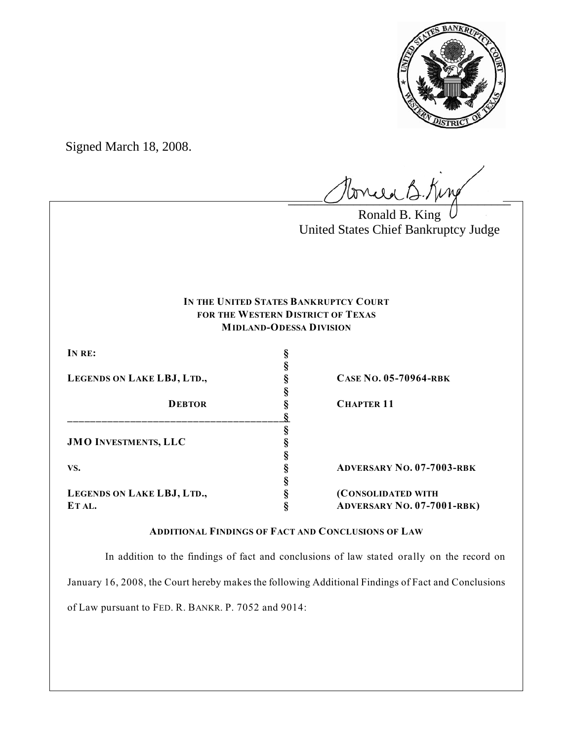

Signed March 18, 2008.

Ponie B. King

Ronald B. King United States Chief Bankruptcy Judge

# **IN THE UNITED STATES BANKRUPTCY COURT FOR THE WESTERN DISTRICT OF TEXAS MIDLAND-ODESSA DIVISION**

| IN RE:<br>LEGENDS ON LAKE LBJ, LTD.,<br><b>DEBTOR</b> |                                   |
|-------------------------------------------------------|-----------------------------------|
|                                                       |                                   |
|                                                       | <b>CASE NO. 05-70964-RBK</b>      |
|                                                       |                                   |
|                                                       | <b>CHAPTER 11</b>                 |
|                                                       |                                   |
|                                                       |                                   |
| <b>JMO INVESTMENTS, LLC</b>                           |                                   |
|                                                       |                                   |
| VS.                                                   | <b>ADVERSARY NO. 07-7003-RBK</b>  |
|                                                       |                                   |
| LEGENDS ON LAKE LBJ, LTD.,                            | (CONSOLIDATED WITH                |
| ET AL.                                                | <b>ADVERSARY NO. 07-7001-RBK)</b> |

## **ADDITIONAL FINDINGS OF FACT AND CONCLUSIONS OF LAW**

 In addition to the findings of fact and conclusions of law stated orally on the record on January 16, 2008, the Court hereby makes the following Additional Findings of Fact and Conclusions

of Law pursuant to FED. R. BANKR. P. 7052 and 9014: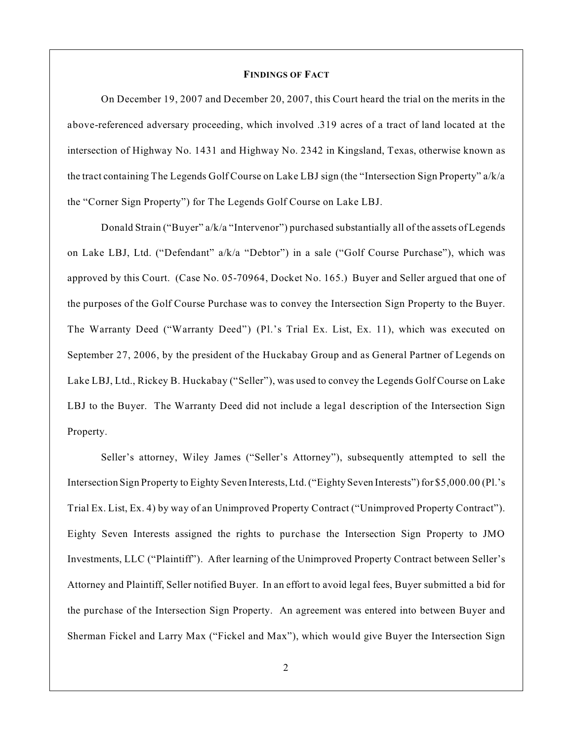#### **FINDINGS OF FACT**

On December 19, 2007 and December 20, 2007, this Court heard the trial on the merits in the above-referenced adversary proceeding, which involved .319 acres of a tract of land located at the intersection of Highway No. 1431 and Highway No. 2342 in Kingsland, Texas, otherwise known as the tract containing The Legends Golf Course on Lake LBJ sign (the "Intersection Sign Property" a/k/a the "Corner Sign Property") for The Legends Golf Course on Lake LBJ.

Donald Strain ("Buyer" a/k/a "Intervenor") purchased substantially all of the assets of Legends on Lake LBJ, Ltd. ("Defendant" a/k/a "Debtor") in a sale ("Golf Course Purchase"), which was approved by this Court. (Case No. 05-70964, Docket No. 165.) Buyer and Seller argued that one of the purposes of the Golf Course Purchase was to convey the Intersection Sign Property to the Buyer. The Warranty Deed ("Warranty Deed") (Pl.'s Trial Ex. List, Ex. 11), which was executed on September 27, 2006, by the president of the Huckabay Group and as General Partner of Legends on Lake LBJ, Ltd., Rickey B. Huckabay ("Seller"), was used to convey the Legends Golf Course on Lake LBJ to the Buyer. The Warranty Deed did not include a legal description of the Intersection Sign Property.

Seller's attorney, Wiley James ("Seller's Attorney"), subsequently attempted to sell the Intersection Sign Property to Eighty Seven Interests, Ltd. ("Eighty Seven Interests") for \$5,000.00 (Pl.'s Trial Ex. List, Ex. 4) by way of an Unimproved Property Contract ("Unimproved Property Contract"). Eighty Seven Interests assigned the rights to purchase the Intersection Sign Property to JMO Investments, LLC ("Plaintiff"). After learning of the Unimproved Property Contract between Seller's Attorney and Plaintiff, Seller notified Buyer. In an effort to avoid legal fees, Buyer submitted a bid for the purchase of the Intersection Sign Property. An agreement was entered into between Buyer and Sherman Fickel and Larry Max ("Fickel and Max"), which would give Buyer the Intersection Sign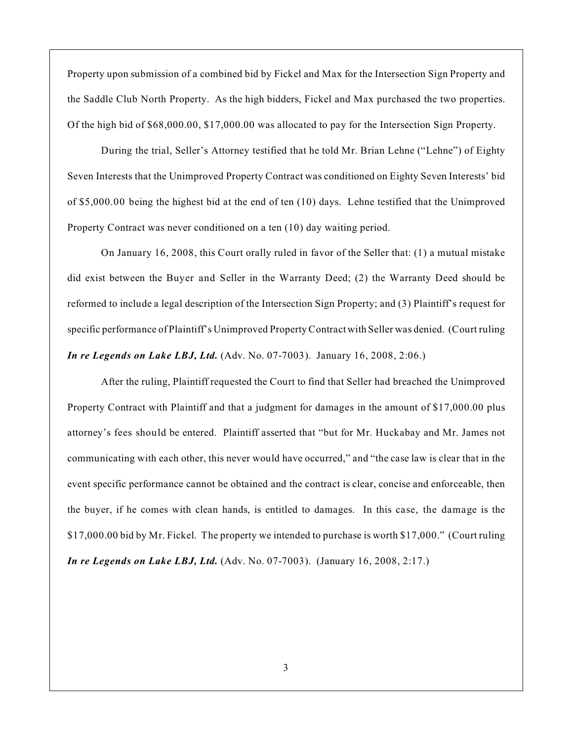Property upon submission of a combined bid by Fickel and Max for the Intersection Sign Property and the Saddle Club North Property. As the high bidders, Fickel and Max purchased the two properties. Of the high bid of \$68,000.00, \$17,000.00 was allocated to pay for the Intersection Sign Property.

During the trial, Seller's Attorney testified that he told Mr. Brian Lehne ("Lehne") of Eighty Seven Interests that the Unimproved Property Contract was conditioned on Eighty Seven Interests' bid of \$5,000.00 being the highest bid at the end of ten (10) days. Lehne testified that the Unimproved Property Contract was never conditioned on a ten (10) day waiting period.

On January 16, 2008, this Court orally ruled in favor of the Seller that: (1) a mutual mistake did exist between the Buyer and Seller in the Warranty Deed; (2) the Warranty Deed should be reformed to include a legal description of the Intersection Sign Property; and (3) Plaintiff's request for specific performance of Plaintiff's Unimproved Property Contract with Seller was denied. (Court ruling *In re Legends on Lake LBJ, Ltd.* (Adv. No. 07-7003). January 16, 2008, 2:06.)

After the ruling, Plaintiff requested the Court to find that Seller had breached the Unimproved Property Contract with Plaintiff and that a judgment for damages in the amount of \$17,000.00 plus attorney's fees should be entered. Plaintiff asserted that "but for Mr. Huckabay and Mr. James not communicating with each other, this never would have occurred," and "the case law is clear that in the event specific performance cannot be obtained and the contract is clear, concise and enforceable, then the buyer, if he comes with clean hands, is entitled to damages. In this case, the damage is the \$17,000.00 bid by Mr. Fickel. The property we intended to purchase is worth \$17,000." (Court ruling *In re Legends on Lake LBJ, Ltd.* (Adv. No. 07-7003). (January 16, 2008, 2:17.)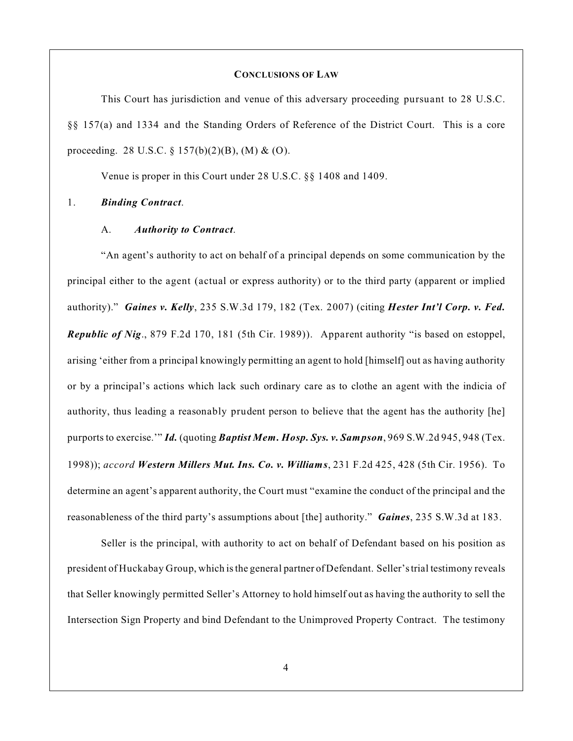#### **CONCLUSIONS OF LAW**

This Court has jurisdiction and venue of this adversary proceeding pursuant to 28 U.S.C. §§ 157(a) and 1334 and the Standing Orders of Reference of the District Court. This is a core proceeding. 28 U.S.C. § 157(b)(2)(B), (M) & (O).

Venue is proper in this Court under 28 U.S.C. §§ 1408 and 1409.

## 1. *Binding Contract*.

#### A. *Authority to Contract*.

"An agent's authority to act on behalf of a principal depends on some communication by the principal either to the agent (actual or express authority) or to the third party (apparent or implied authority)." *Gaines v. Kelly*, 235 S.W.3d 179, 182 (Tex. 2007) (citing *Hester Int'l Corp. v. Fed. Republic of Nig*., 879 F.2d 170, 181 (5th Cir. 1989)). Apparent authority "is based on estoppel, arising 'either from a principal knowingly permitting an agent to hold [himself] out as having authority or by a principal's actions which lack such ordinary care as to clothe an agent with the indicia of authority, thus leading a reasonably prudent person to believe that the agent has the authority [he] purports to exercise.'" *Id.* (quoting *Baptist Mem. Hosp. Sys. v. Sampson*, 969 S.W.2d 945, 948 (Tex. 1998)); *accord Western Millers Mut. Ins. Co. v. Williams*, 231 F.2d 425, 428 (5th Cir. 1956). To determine an agent's apparent authority, the Court must "examine the conduct of the principal and the reasonableness of the third party's assumptions about [the] authority." *Gaines*, 235 S.W.3d at 183.

Seller is the principal, with authority to act on behalf of Defendant based on his position as president of Huckabay Group, which is the general partner ofDefendant. Seller'strial testimony reveals that Seller knowingly permitted Seller's Attorney to hold himself out as having the authority to sell the Intersection Sign Property and bind Defendant to the Unimproved Property Contract. The testimony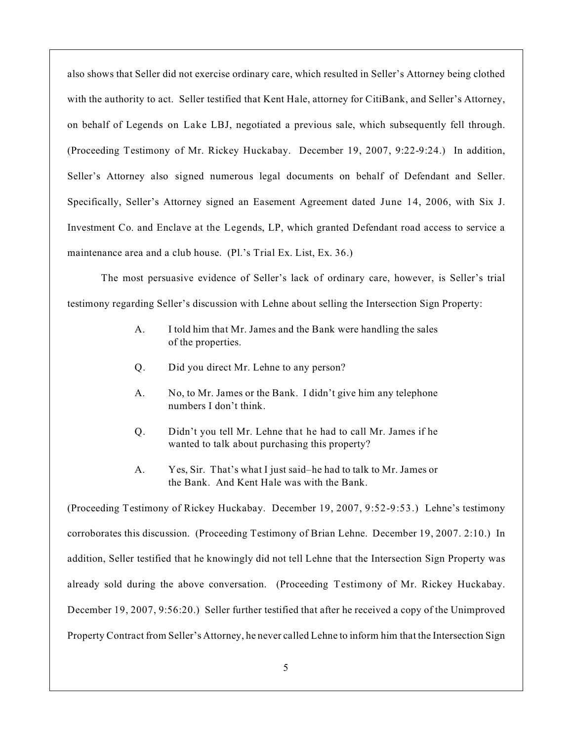also shows that Seller did not exercise ordinary care, which resulted in Seller's Attorney being clothed with the authority to act. Seller testified that Kent Hale, attorney for CitiBank, and Seller's Attorney, on behalf of Legends on Lake LBJ, negotiated a previous sale, which subsequently fell through. (Proceeding Testimony of Mr. Rickey Huckabay. December 19, 2007, 9:22-9:24.) In addition, Seller's Attorney also signed numerous legal documents on behalf of Defendant and Seller. Specifically, Seller's Attorney signed an Easement Agreement dated June 14, 2006, with Six J. Investment Co. and Enclave at the Legends, LP, which granted Defendant road access to service a maintenance area and a club house. (Pl.'s Trial Ex. List, Ex. 36.)

The most persuasive evidence of Seller's lack of ordinary care, however, is Seller's trial testimony regarding Seller's discussion with Lehne about selling the Intersection Sign Property:

- A. I told him that Mr. James and the Bank were handling the sales of the properties.
- Q. Did you direct Mr. Lehne to any person?
- A. No, to Mr. James or the Bank. I didn't give him any telephone numbers I don't think.
- Q. Didn't you tell Mr. Lehne that he had to call Mr. James if he wanted to talk about purchasing this property?
- A. Yes, Sir. That's what I just said–he had to talk to Mr. James or the Bank. And Kent Hale was with the Bank.

(Proceeding Testimony of Rickey Huckabay. December 19, 2007, 9:52-9:53.) Lehne's testimony corroborates this discussion. (Proceeding Testimony of Brian Lehne. December 19, 2007. 2:10.) In addition, Seller testified that he knowingly did not tell Lehne that the Intersection Sign Property was already sold during the above conversation. (Proceeding Testimony of Mr. Rickey Huckabay. December 19, 2007, 9:56:20.) Seller further testified that after he received a copy of the Unimproved Property Contract from Seller's Attorney, he never called Lehne to inform him that the Intersection Sign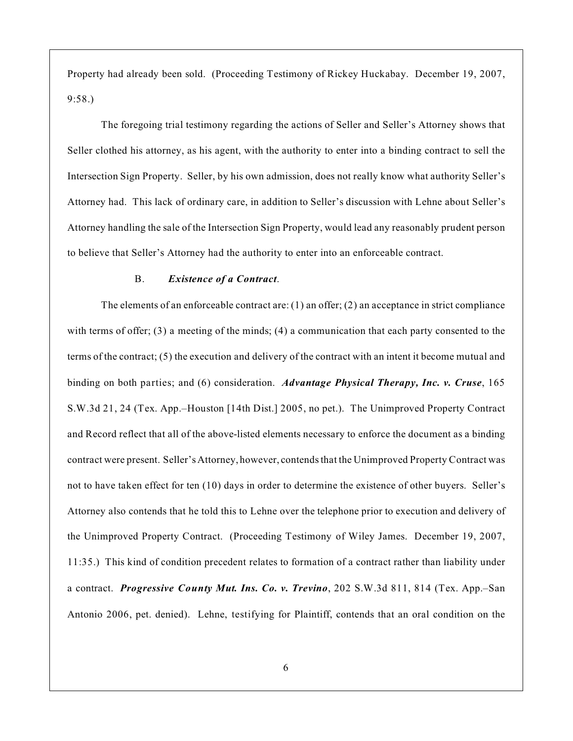Property had already been sold. (Proceeding Testimony of Rickey Huckabay. December 19, 2007, 9:58.)

The foregoing trial testimony regarding the actions of Seller and Seller's Attorney shows that Seller clothed his attorney, as his agent, with the authority to enter into a binding contract to sell the Intersection Sign Property. Seller, by his own admission, does not really know what authority Seller's Attorney had. This lack of ordinary care, in addition to Seller's discussion with Lehne about Seller's Attorney handling the sale of the Intersection Sign Property, would lead any reasonably prudent person to believe that Seller's Attorney had the authority to enter into an enforceable contract.

#### B. *Existence of a Contract*.

The elements of an enforceable contract are:  $(1)$  an offer;  $(2)$  an acceptance in strict compliance with terms of offer; (3) a meeting of the minds; (4) a communication that each party consented to the terms of the contract; (5) the execution and delivery of the contract with an intent it become mutual and binding on both parties; and (6) consideration. *Advantage Physical Therapy, Inc. v. Cruse*, 165 S.W.3d 21, 24 (Tex. App.–Houston [14th Dist.] 2005, no pet.). The Unimproved Property Contract and Record reflect that all of the above-listed elements necessary to enforce the document as a binding contract were present. Seller'sAttorney, however, contends that the Unimproved Property Contract was not to have taken effect for ten (10) days in order to determine the existence of other buyers. Seller's Attorney also contends that he told this to Lehne over the telephone prior to execution and delivery of the Unimproved Property Contract. (Proceeding Testimony of Wiley James. December 19, 2007, 11:35.) This kind of condition precedent relates to formation of a contract rather than liability under a contract. *Progressive County Mut. Ins. Co. v. Trevino*, 202 S.W.3d 811, 814 (Tex. App.–San Antonio 2006, pet. denied). Lehne, testifying for Plaintiff, contends that an oral condition on the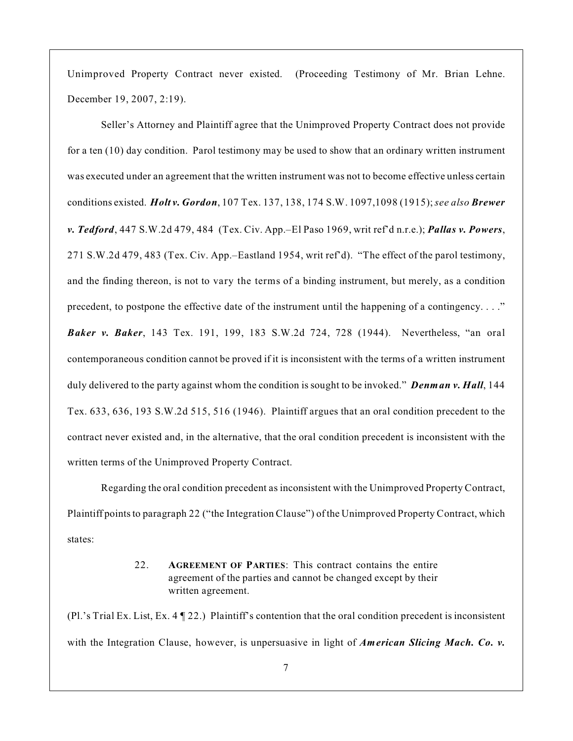Unimproved Property Contract never existed. (Proceeding Testimony of Mr. Brian Lehne. December 19, 2007, 2:19).

Seller's Attorney and Plaintiff agree that the Unimproved Property Contract does not provide for a ten (10) day condition. Parol testimony may be used to show that an ordinary written instrument was executed under an agreement that the written instrument was not to become effective unless certain conditions existed. *Holt v. Gordon*, 107 Tex. 137, 138, 174 S.W. 1097,1098 (1915); *see also Brewer v. Tedford*, 447 S.W.2d 479, 484 (Tex. Civ. App.–El Paso 1969, writ ref'd n.r.e.); *Pallas v. Powers*, 271 S.W.2d 479, 483 (Tex. Civ. App.–Eastland 1954, writ ref'd). "The effect of the parol testimony, and the finding thereon, is not to vary the terms of a binding instrument, but merely, as a condition precedent, to postpone the effective date of the instrument until the happening of a contingency. . . ." *Baker v. Baker*, 143 Tex. 191, 199, 183 S.W.2d 724, 728 (1944). Nevertheless, "an oral contemporaneous condition cannot be proved if it is inconsistent with the terms of a written instrument duly delivered to the party against whom the condition is sought to be invoked." *Denman v. Hall*, 144 Tex. 633, 636, 193 S.W.2d 515, 516 (1946). Plaintiff argues that an oral condition precedent to the contract never existed and, in the alternative, that the oral condition precedent is inconsistent with the written terms of the Unimproved Property Contract.

Regarding the oral condition precedent as inconsistent with the Unimproved Property Contract, Plaintiff points to paragraph 22 ("the Integration Clause") of the Unimproved Property Contract, which states:

> 22. **AGREEMENT OF PARTIES**: This contract contains the entire agreement of the parties and cannot be changed except by their written agreement.

(Pl.'s Trial Ex. List, Ex. 4 ¶ 22.) Plaintiff's contention that the oral condition precedent is inconsistent with the Integration Clause, however, is unpersuasive in light of *American Slicing Mach. Co. v.*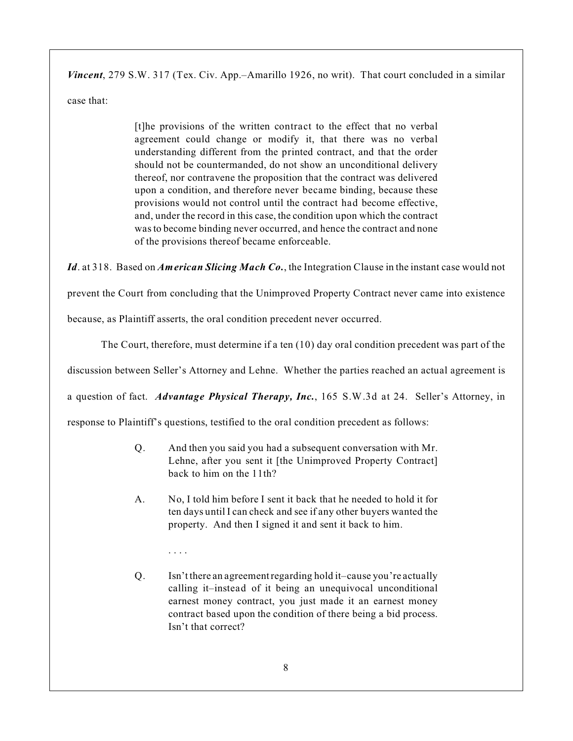*Vincent*, 279 S.W. 317 (Tex. Civ. App.–Amarillo 1926, no writ). That court concluded in a similar

case that:

[t]he provisions of the written contract to the effect that no verbal agreement could change or modify it, that there was no verbal understanding different from the printed contract, and that the order should not be countermanded, do not show an unconditional delivery thereof, nor contravene the proposition that the contract was delivered upon a condition, and therefore never became binding, because these provisions would not control until the contract had become effective, and, under the record in this case, the condition upon which the contract was to become binding never occurred, and hence the contract and none of the provisions thereof became enforceable.

*Id*. at 318. Based on *American Slicing Mach Co.*, the Integration Clause in the instant case would not

prevent the Court from concluding that the Unimproved Property Contract never came into existence

because, as Plaintiff asserts, the oral condition precedent never occurred.

. . . .

The Court, therefore, must determine if a ten (10) day oral condition precedent was part of the

discussion between Seller's Attorney and Lehne. Whether the parties reached an actual agreement is

a question of fact. *Advantage Physical Therapy, Inc.*, 165 S.W.3d at 24. Seller's Attorney, in

response to Plaintiff's questions, testified to the oral condition precedent as follows:

- Q. And then you said you had a subsequent conversation with Mr. Lehne, after you sent it [the Unimproved Property Contract] back to him on the 11th?
- A. No, I told him before I sent it back that he needed to hold it for ten days until I can check and see if any other buyers wanted the property. And then I signed it and sent it back to him.
- Q. Isn't there an agreement regarding hold it–cause you're actually calling it–instead of it being an unequivocal unconditional earnest money contract, you just made it an earnest money contract based upon the condition of there being a bid process. Isn't that correct?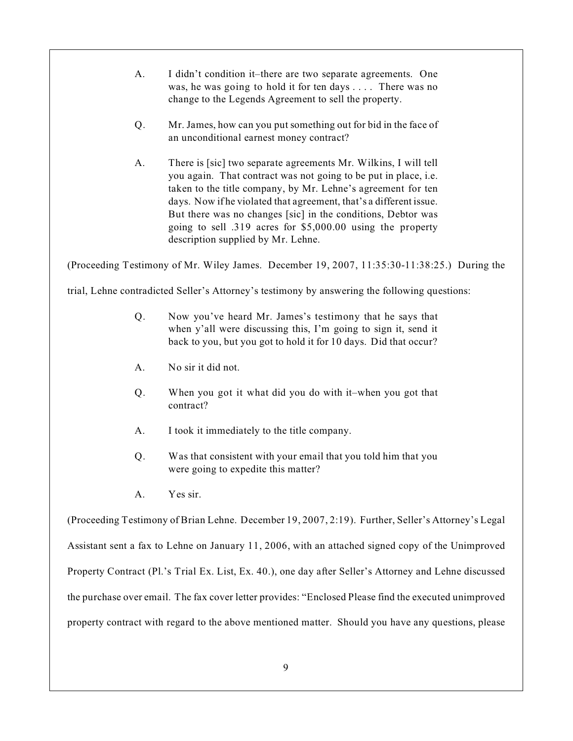- A. I didn't condition it–there are two separate agreements. One was, he was going to hold it for ten days . . . . There was no change to the Legends Agreement to sell the property.
- Q. Mr. James, how can you put something out for bid in the face of an unconditional earnest money contract?
- A. There is [sic] two separate agreements Mr. Wilkins, I will tell you again. That contract was not going to be put in place, i.e. taken to the title company, by Mr. Lehne's agreement for ten days. Now if he violated that agreement, that's a different issue. But there was no changes [sic] in the conditions, Debtor was going to sell .319 acres for \$5,000.00 using the property description supplied by Mr. Lehne.

(Proceeding Testimony of Mr. Wiley James. December 19, 2007, 11:35:30-11:38:25.) During the

trial, Lehne contradicted Seller's Attorney's testimony by answering the following questions:

- Q. Now you've heard Mr. James's testimony that he says that when y'all were discussing this, I'm going to sign it, send it back to you, but you got to hold it for 10 days. Did that occur?
- A. No sir it did not.
- Q. When you got it what did you do with it–when you got that contract?
- A. I took it immediately to the title company.
- Q. Was that consistent with your email that you told him that you were going to expedite this matter?
- A. Yes sir.

(Proceeding Testimony of Brian Lehne. December 19, 2007, 2:19). Further, Seller's Attorney's Legal Assistant sent a fax to Lehne on January 11, 2006, with an attached signed copy of the Unimproved Property Contract (Pl.'s Trial Ex. List, Ex. 40.), one day after Seller's Attorney and Lehne discussed the purchase over email. The fax cover letter provides: "Enclosed Please find the executed unimproved property contract with regard to the above mentioned matter. Should you have any questions, please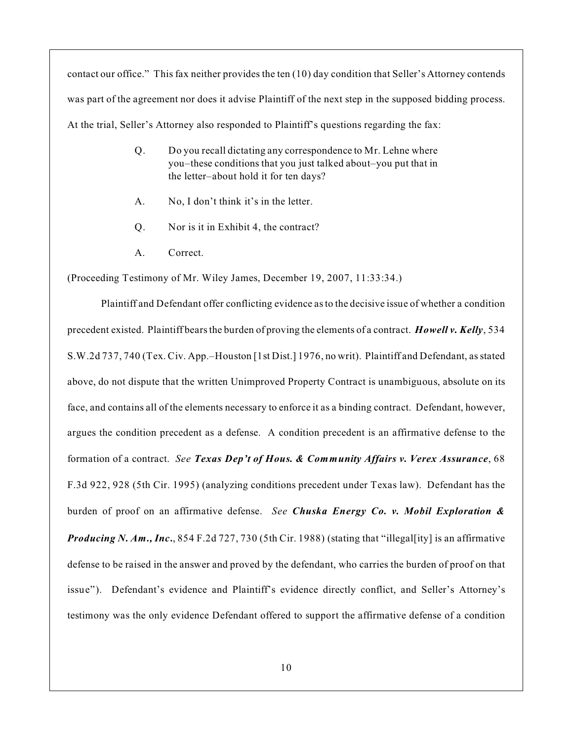contact our office." This fax neither provides the ten (10) day condition that Seller's Attorney contends was part of the agreement nor does it advise Plaintiff of the next step in the supposed bidding process. At the trial, Seller's Attorney also responded to Plaintiff's questions regarding the fax:

- Q. Do you recall dictating any correspondence to Mr. Lehne where you–these conditions that you just talked about–you put that in the letter–about hold it for ten days?
- A. No, I don't think it's in the letter.
- Q. Nor is it in Exhibit 4, the contract?
- A. Correct.

(Proceeding Testimony of Mr. Wiley James, December 19, 2007, 11:33:34.)

Plaintiff and Defendant offer conflicting evidence asto the decisive issue of whether a condition precedent existed. Plaintiff bears the burden of proving the elements of a contract. *Howell v. Kelly*, 534 S.W.2d 737, 740 (Tex. Civ. App.–Houston [1st Dist.] 1976, no writ). Plaintiff and Defendant, as stated above, do not dispute that the written Unimproved Property Contract is unambiguous, absolute on its face, and contains all of the elements necessary to enforce it as a binding contract. Defendant, however, argues the condition precedent as a defense. A condition precedent is an affirmative defense to the formation of a contract. *See Texas Dep't of Hous. & Community Affairs v. Verex Assurance*, 68 F.3d 922, 928 (5th Cir. 1995) (analyzing conditions precedent under Texas law). Defendant has the burden of proof on an affirmative defense. *See Chuska Energy Co. v. Mobil Exploration & Producing N. Am., Inc.*, 854 F.2d 727, 730 (5th Cir. 1988) (stating that "illegal[ity] is an affirmative defense to be raised in the answer and proved by the defendant, who carries the burden of proof on that issue"). Defendant's evidence and Plaintiff's evidence directly conflict, and Seller's Attorney's testimony was the only evidence Defendant offered to support the affirmative defense of a condition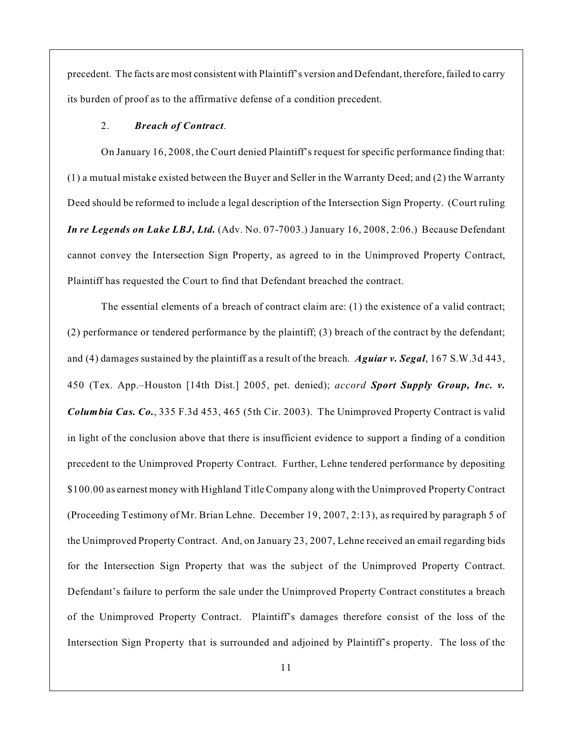precedent. The facts are most consistent with Plaintiff's version and Defendant, therefore,failed to carry its burden of proof as to the affirmative defense of a condition precedent.

#### 2. *Breach of Contract*.

On January 16, 2008, the Court denied Plaintiff's request for specific performance finding that: (1) a mutual mistake existed between the Buyer and Seller in the Warranty Deed; and (2) the Warranty Deed should be reformed to include a legal description of the Intersection Sign Property. (Court ruling *In re Legends on Lake LBJ, Ltd.* (Adv. No. 07-7003.) January 16, 2008, 2:06.) Because Defendant cannot convey the Intersection Sign Property, as agreed to in the Unimproved Property Contract, Plaintiff has requested the Court to find that Defendant breached the contract.

The essential elements of a breach of contract claim are: (1) the existence of a valid contract; (2) performance or tendered performance by the plaintiff; (3) breach of the contract by the defendant; and (4) damages sustained by the plaintiff as a result of the breach. *Aguiar v. Segal*, 167 S.W.3d 443, 450 (Tex. App.–Houston [14th Dist.] 2005, pet. denied); *accord Sport Supply Group, Inc. v. Columbia Cas. Co.*, 335 F.3d 453, 465 (5th Cir. 2003). The Unimproved Property Contract is valid in light of the conclusion above that there is insufficient evidence to support a finding of a condition precedent to the Unimproved Property Contract. Further, Lehne tendered performance by depositing \$100.00 as earnest money with Highland Title Company along with the Unimproved Property Contract (Proceeding Testimony of Mr. Brian Lehne. December 19, 2007, 2:13), as required by paragraph 5 of the Unimproved Property Contract. And, on January 23, 2007, Lehne received an email regarding bids for the Intersection Sign Property that was the subject of the Unimproved Property Contract. Defendant's failure to perform the sale under the Unimproved Property Contract constitutes a breach of the Unimproved Property Contract. Plaintiff's damages therefore consist of the loss of the Intersection Sign Property that is surrounded and adjoined by Plaintiff's property. The loss of the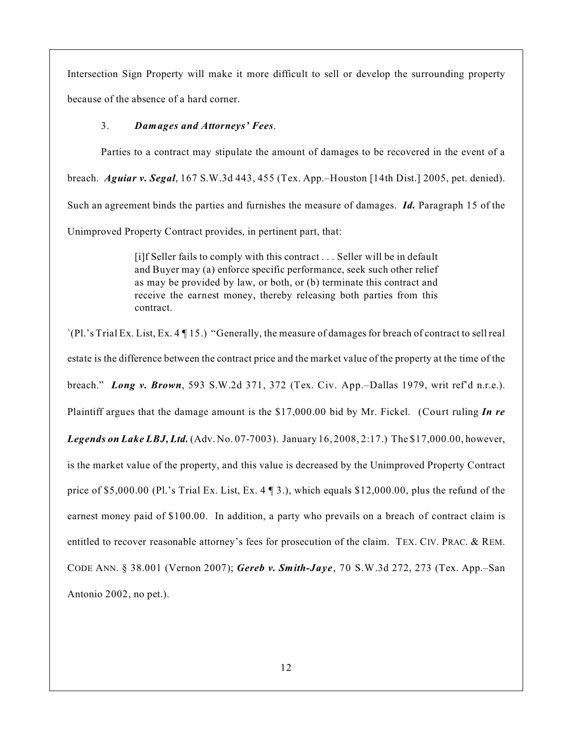Intersection Sign Property will make it more difficult to sell or develop the surrounding property because of the absence of a hard corner.

### 3. *Damages and Attorneys' Fees*.

Parties to a contract may stipulate the amount of damages to be recovered in the event of a breach. *Aguiar v. Segal*, 167 S.W.3d 443, 455 (Tex. App.–Houston [14th Dist.] 2005, pet. denied). Such an agreement binds the parties and furnishes the measure of damages. *Id.* Paragraph 15 of the Unimproved Property Contract provides, in pertinent part, that:

> [i]f Seller fails to comply with this contract . . . Seller will be in default and Buyer may (a) enforce specific performance, seek such other relief as may be provided by law, or both, or (b) terminate this contract and receive the earnest money, thereby releasing both parties from this contract.

`(Pl.'s Trial Ex. List, Ex. 4 ¶ 15.) "Generally, the measure of damages for breach of contract to sell real estate is the difference between the contract price and the market value of the property at the time of the breach." *Long v. Brown*, 593 S.W.2d 371, 372 (Tex. Civ. App.–Dallas 1979, writ ref'd n.r.e.). Plaintiff argues that the damage amount is the \$17,000.00 bid by Mr. Fickel. (Court ruling *In re Legends on Lake LBJ, Ltd.* (Adv. No. 07-7003). January 16, 2008, 2:17.) The \$17,000.00, however, is the market value of the property, and this value is decreased by the Unimproved Property Contract price of \$5,000.00 (Pl.'s Trial Ex. List, Ex. 4 ¶ 3.), which equals \$12,000.00, plus the refund of the earnest money paid of \$100.00. In addition, a party who prevails on a breach of contract claim is entitled to recover reasonable attorney's fees for prosecution of the claim. TEX. CIV. PRAC. & REM. CODE ANN. § 38.001 (Vernon 2007); *Gereb v. Smith-Jaye*, 70 S.W.3d 272, 273 (Tex. App.–San Antonio 2002, no pet.).